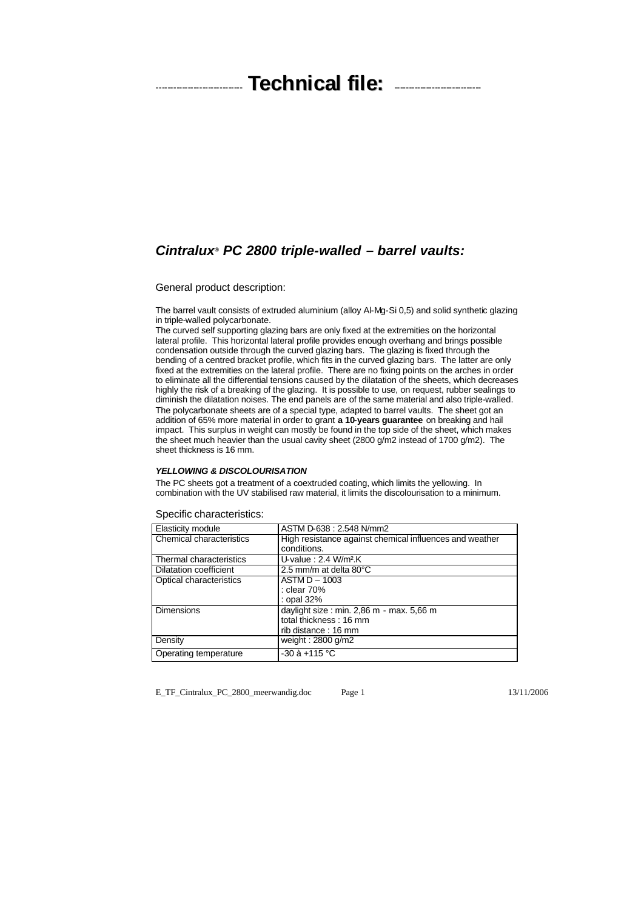# ------------------------------ **Technical file:** ------------------------------

## *Cintralux® PC 2800 triple-walled – barrel vaults:*

General product description:

The barrel vault consists of extruded aluminium (alloy Al-Mg-Si 0,5) and solid synthetic glazing in triple-walled polycarbonate.

The curved self supporting glazing bars are only fixed at the extremities on the horizontal lateral profile. This horizontal lateral profile provides enough overhang and brings possible condensation outside through the curved glazing bars. The glazing is fixed through the bending of a centred bracket profile, which fits in the curved glazing bars. The latter are only fixed at the extremities on the lateral profile. There are no fixing points on the arches in order to eliminate all the differential tensions caused by the dilatation of the sheets, which decreases highly the risk of a breaking of the glazing. It is possible to use, on request, rubber sealings to diminish the dilatation noises. The end panels are of the same material and also triple-walled. The polycarbonate sheets are of a special type, adapted to barrel vaults. The sheet got an addition of 65% more material in order to grant **a 10-years guarantee** on breaking and hail impact. This surplus in weight can mostly be found in the top side of the sheet, which makes the sheet much heavier than the usual cavity sheet (2800 g/m2 instead of 1700 g/m2). The sheet thickness is 16 mm.

## *YELLOWING & DISCOLOURISATION*

The PC sheets got a treatment of a coextruded coating, which limits the yellowing. In combination with the UV stabilised raw material, it limits the discolourisation to a minimum.

#### Specific characteristics:

| Elasticity module        | ASTM D-638 : 2.548 N/mm2                                |  |  |
|--------------------------|---------------------------------------------------------|--|--|
| Chemical characteristics | High resistance against chemical influences and weather |  |  |
|                          | conditions.                                             |  |  |
| Thermal characteristics  | U-value : $2.4$ W/m <sup>2</sup> .K                     |  |  |
| Dilatation coefficient   | 2.5 mm/m at delta $80^{\circ}$ C                        |  |  |
| Optical characteristics  | $ASTM D - 1003$                                         |  |  |
|                          | : clear 70%                                             |  |  |
|                          | : opal 32%                                              |  |  |
| <b>Dimensions</b>        | daylight size : min. 2,86 m - max. 5,66 m               |  |  |
|                          | total thickness: 16 mm                                  |  |  |
|                          | rib distance: 16 mm                                     |  |  |
| Density                  | weight: $2800$ g/m2                                     |  |  |
| Operating temperature    | $-30$ à $+115$ °C                                       |  |  |

E\_TF\_Cintralux\_PC\_2800\_meerwandig.doc Page 1 13/11/2006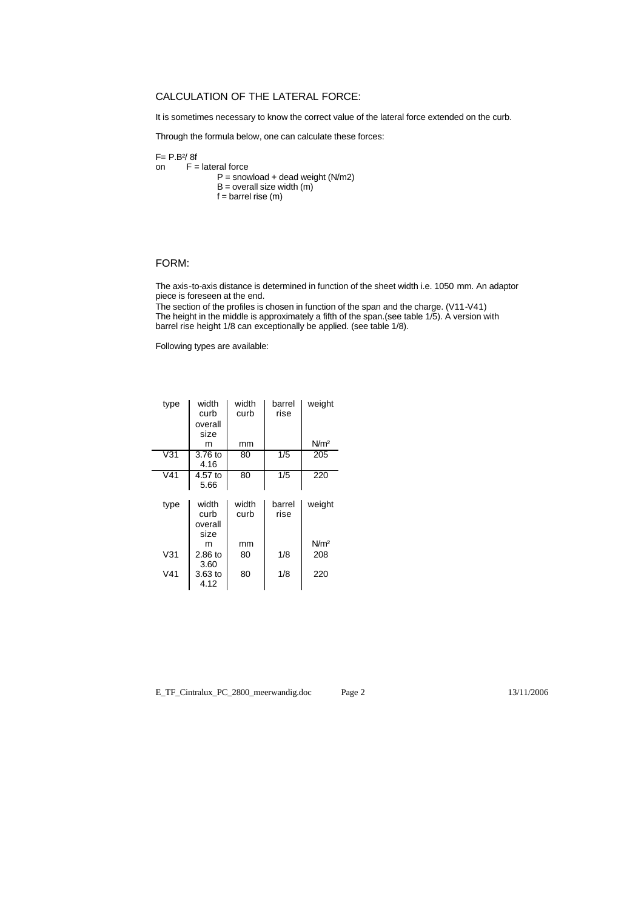## CALCULATION OF THE LATERAL FORCE:

It is sometimes necessary to know the correct value of the lateral force extended on the curb.

Through the formula below, one can calculate these forces:

F= P.B²/ 8f on  $F =$  lateral force  $P =$  snowload + dead weight (N/m2) B = overall size width (m)  $f = \text{barrel rise (m)}$ 

### FORM:

The axis-to-axis distance is determined in function of the sheet width i.e. 1050 mm. An adaptor piece is foreseen at the end.

The section of the profiles is chosen in function of the span and the charge. (V11-V41) The height in the middle is approximately a fifth of the span.(see table 1/5). A version with barrel rise height 1/8 can exceptionally be applied. (see table 1/8).

Following types are available:

| type             | width<br>curb<br>overall<br>size | width<br>curb | barrel<br>rise   | weight           |
|------------------|----------------------------------|---------------|------------------|------------------|
|                  | m                                | mm            |                  | N/m <sup>2</sup> |
| V31              | 3.76 to<br>4.16                  | 80            | 1/5              | 205              |
| $\overline{V41}$ | $4.57$ to<br>5.66                | 80            | $1/\overline{5}$ | 220              |
| type             | width<br>curb<br>overall<br>size | width<br>curb | barrel<br>rise   | weight           |
|                  | m                                | mm            |                  | N/m <sup>2</sup> |
| V31              | $2.86$ to<br>3.60                | 80            | 1/8              | 208              |
| V41              | $3.63$ to<br>4.12                | 80            | 1/8              | 220              |

E\_TF\_Cintralux\_PC\_2800\_meerwandig.doc Page 2 13/11/2006